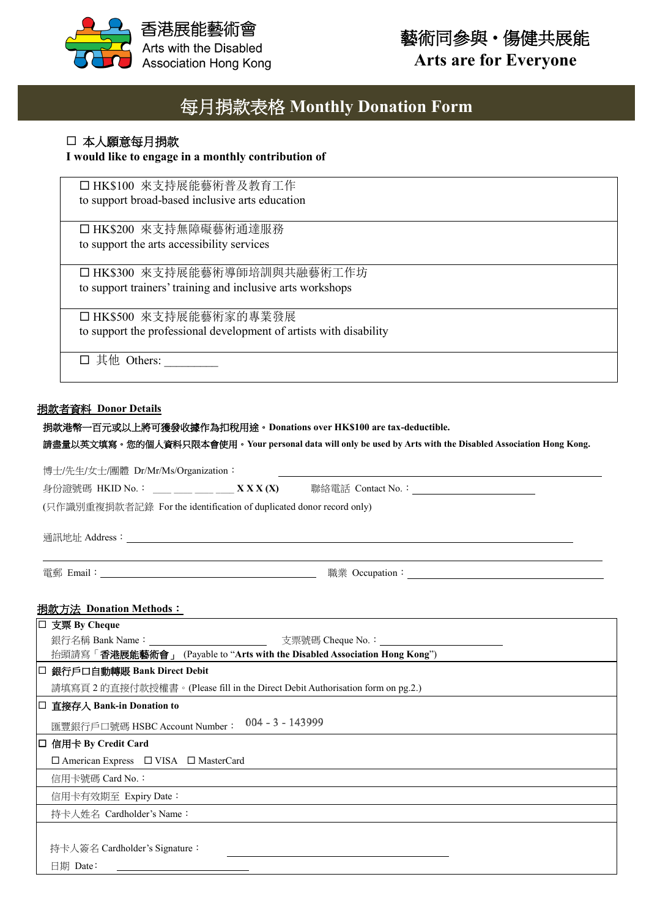

# 藝術同參與‧傷健共展能

**Arts are for Everyone**

# 每月捐款表格 **Monthly Donation Form**

## 本人願意每月捐款

### **I would like to engage in a monthly contribution of**

□ HK\$100 來支持展能藝術普及教育工作 to support broad-based inclusive arts education

□ HK\$200 來支持無障礙藝術通達服務 to support the arts accessibility services

□ HK\$300 來支持展能藝術導師培訓與共融藝術工作坊 to support trainers' training and inclusive arts workshops

□ HK\$500 來支持展能藝術家的專業發展 to support the professional development of artists with disability

其他 Others: \_\_\_\_\_\_\_\_\_

#### 捐款者資料 **Donor Details**

| 捐款者資料 Donor Details                                                                                         |                                                             |
|-------------------------------------------------------------------------------------------------------------|-------------------------------------------------------------|
| 捐款港幣一百元或以上將可獲發收據作為扣稅用途。Donations over HK\$100 are tax-deductible.                                           |                                                             |
| 請盡量以英文填寫。您的個人資料只限本會使用。Your personal data will only be used by Arts with the Disabled Association Hong Kong. |                                                             |
| 博士/先生/女士/團體 Dr/Mr/Ms/Organization:                                                                          |                                                             |
|                                                                                                             | <u> 1989 - Johann Stein, Amerikaansk politiker (* 1958)</u> |
|                                                                                                             |                                                             |
| (只作識別重複捐款者記錄 For the identification of duplicated donor record only)                                        |                                                             |
|                                                                                                             |                                                             |
|                                                                                                             |                                                             |
|                                                                                                             |                                                             |
|                                                                                                             |                                                             |
| <u> 捐款方法 Donation Methods:</u>                                                                              |                                                             |
| □ 支票 By Cheque                                                                                              |                                                             |
|                                                                                                             |                                                             |
| 抬頭請寫「香港展能藝術會」 (Payable to "Arts with the Disabled Association Hong Kong")                                   |                                                             |
| □ 銀行戶口自動轉賬 Bank Direct Debit                                                                                |                                                             |
| 請填寫頁 2 的直接付款授權書。(Please fill in the Direct Debit Authorisation form on pg.2.)                               |                                                             |
|                                                                                                             |                                                             |
| □ 直接存入 Bank-in Donation to                                                                                  |                                                             |
|                                                                                                             |                                                             |
| 匯豐銀行戶口號碼 HSBC Account Number : 004 - 3 - 143999<br>□ 信用卡 By Credit Card                                     |                                                             |
| □ American Express □ VISA □ MasterCard                                                                      |                                                             |
| 信用卡號碼 Card No.:                                                                                             |                                                             |
| 信用卡有效期至 Expiry Date:                                                                                        |                                                             |

持卡人簽名 Cardholder's Signature:

日期 Date: